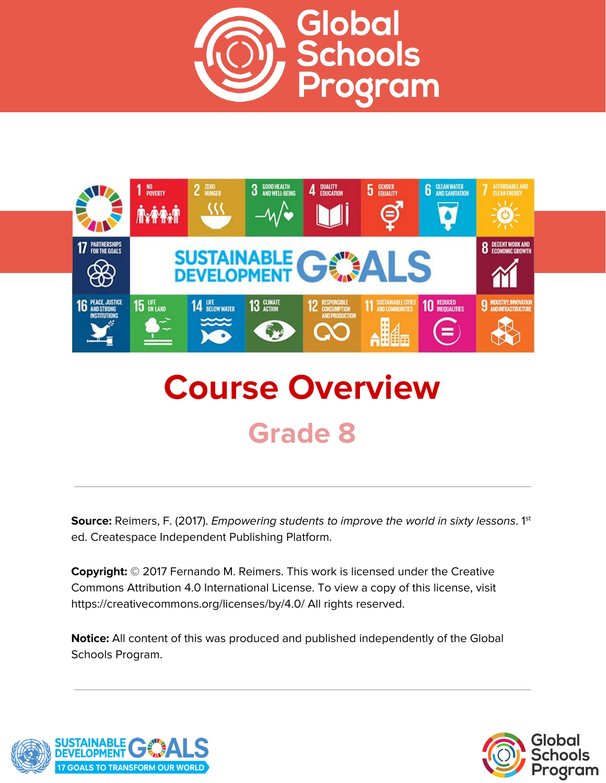



# **Course Overview Grade 8**

**Source:** Reimers, F. (2017). *Empowering students to improve the world in sixty lessons.* 1<sup>st</sup> ed. Createspace Independent Publishing Platform.

**Copyright:** © 2017 Fernando M. Reimers. This work is licensed under the Creative Commons Attribution 4.0 International License. To view a copy of this license, visit https://creativecommons.org/licenses/by/4.0/ All rights reserved.

**Notice:** All content of this was produced and published independently of the Global Schools Program.



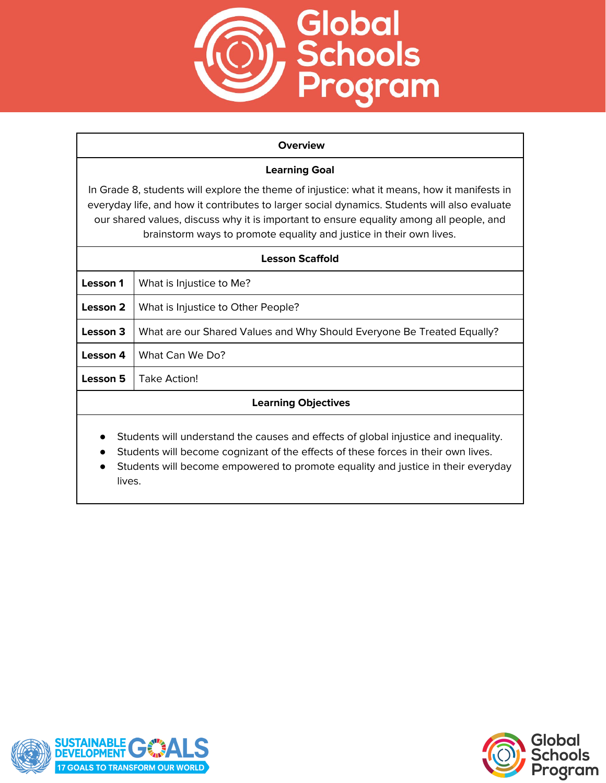

#### **Overview**

#### **Learning Goal**

In Grade 8, students will explore the theme of injustice: what it means, how it manifests in everyday life, and how it contributes to larger social dynamics. Students will also evaluate our shared values, discuss why it is important to ensure equality among all people, and brainstorm ways to promote equality and justice in their own lives.

| <b>Lesson Scaffold</b>                                                                                                                                                                             |                                                                        |
|----------------------------------------------------------------------------------------------------------------------------------------------------------------------------------------------------|------------------------------------------------------------------------|
| Lesson 1                                                                                                                                                                                           | What is Injustice to Me?                                               |
| Lesson 2                                                                                                                                                                                           | What is Injustice to Other People?                                     |
| Lesson 3                                                                                                                                                                                           | What are our Shared Values and Why Should Everyone Be Treated Equally? |
| Lesson 4                                                                                                                                                                                           | What Can We Do?                                                        |
| Lesson 5                                                                                                                                                                                           | Take Action!                                                           |
| <b>Learning Objectives</b>                                                                                                                                                                         |                                                                        |
| Students will understand the causes and effects of global injustice and inequality.<br>$\bullet$<br>Students will become cognizant of the effects of these forces in their own lives.<br>$\bullet$ |                                                                        |

Students will become empowered to promote equality and justice in their everyday lives.



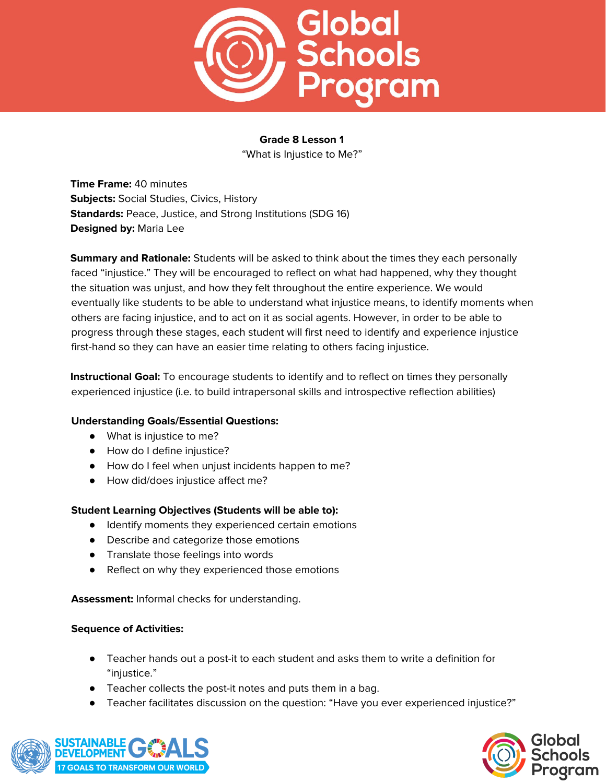

"What is Injustice to Me?"

**Time Frame:** 40 minutes **Subjects:** Social Studies, Civics, History **Standards:** Peace, Justice, and Strong Institutions (SDG 16) **Designed by:** Maria Lee

**Summary and Rationale:** Students will be asked to think about the times they each personally faced "injustice." They will be encouraged to reflect on what had happened, why they thought the situation was unjust, and how they felt throughout the entire experience. We would eventually like students to be able to understand what injustice means, to identify moments when others are facing injustice, and to act on it as social agents. However, in order to be able to progress through these stages, each student will first need to identify and experience injustice first-hand so they can have an easier time relating to others facing injustice.

**Instructional Goal:** To encourage students to identify and to reflect on times they personally experienced injustice (i.e. to build intrapersonal skills and introspective reflection abilities)

# **Understanding Goals/Essential Questions:**

- What is injustice to me?
- How do I define injustice?
- How do I feel when unjust incidents happen to me?
- How did/does injustice affect me?

#### **Student Learning Objectives (Students will be able to):**

- Identify moments they experienced certain emotions
- Describe and categorize those emotions
- Translate those feelings into words
- Reflect on why they experienced those emotions

**Assessment:** Informal checks for understanding.

- Teacher hands out a post-it to each student and asks them to write a definition for "injustice."
- Teacher collects the post-it notes and puts them in a bag.
- Teacher facilitates discussion on the question: "Have you ever experienced injustice?"



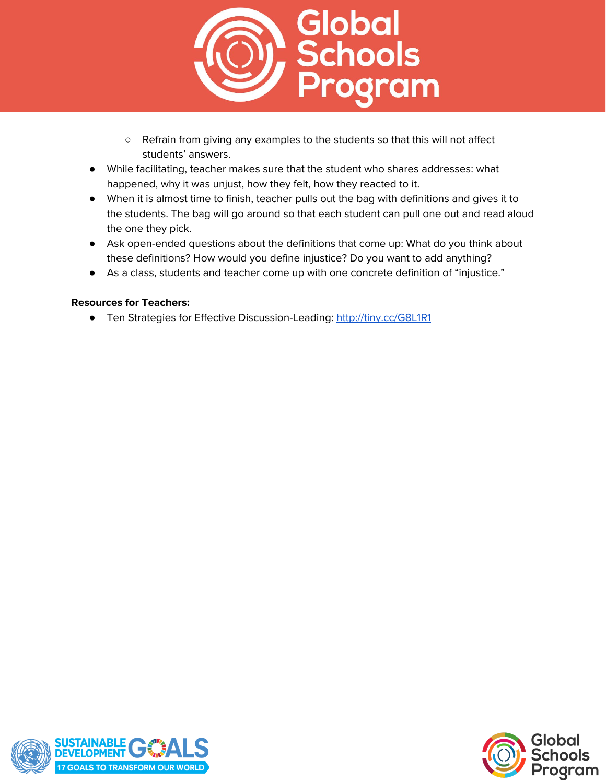

- Refrain from giving any examples to the students so that this will not affect students' answers.
- While facilitating, teacher makes sure that the student who shares addresses: what happened, why it was unjust, how they felt, how they reacted to it.
- When it is almost time to finish, teacher pulls out the bag with definitions and gives it to the students. The bag will go around so that each student can pull one out and read aloud the one they pick.
- Ask open-ended questions about the definitions that come up: What do you think about these definitions? How would you define injustice? Do you want to add anything?
- As a class, students and teacher come up with one concrete definition of "injustice."

# **Resources for Teachers:**

**●** Ten Strategies for Effective Discussion-Leading: <http://tiny.cc/G8L1R1>



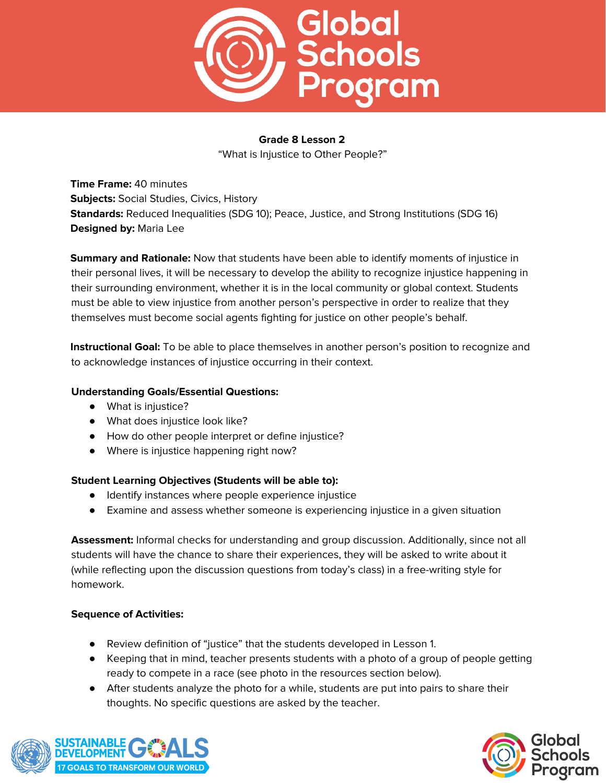

"What is Injustice to Other People?"

**Time Frame:** 40 minutes **Subjects:** Social Studies, Civics, History **Standards:** Reduced Inequalities (SDG 10); Peace, Justice, and Strong Institutions (SDG 16) **Designed by:** Maria Lee

**Summary and Rationale:** Now that students have been able to identify moments of injustice in their personal lives, it will be necessary to develop the ability to recognize injustice happening in their surrounding environment, whether it is in the local community or global context. Students must be able to view injustice from another person's perspective in order to realize that they themselves must become social agents fighting for justice on other people's behalf.

**Instructional Goal:** To be able to place themselves in another person's position to recognize and to acknowledge instances of injustice occurring in their context.

# **Understanding Goals/Essential Questions:**

- What is injustice?
- What does injustice look like?
- How do other people interpret or define injustice?
- Where is injustice happening right now?

#### **Student Learning Objectives (Students will be able to):**

- Identify instances where people experience injustice
- Examine and assess whether someone is experiencing injustice in a given situation

**Assessment:** Informal checks for understanding and group discussion. Additionally, since not all students will have the chance to share their experiences, they will be asked to write about it (while reflecting upon the discussion questions from today's class) in a free-writing style for homework.

- Review definition of "justice" that the students developed in Lesson 1.
- Keeping that in mind, teacher presents students with a photo of a group of people getting ready to compete in a race (see photo in the resources section below).
- After students analyze the photo for a while, students are put into pairs to share their thoughts. No specific questions are asked by the teacher.



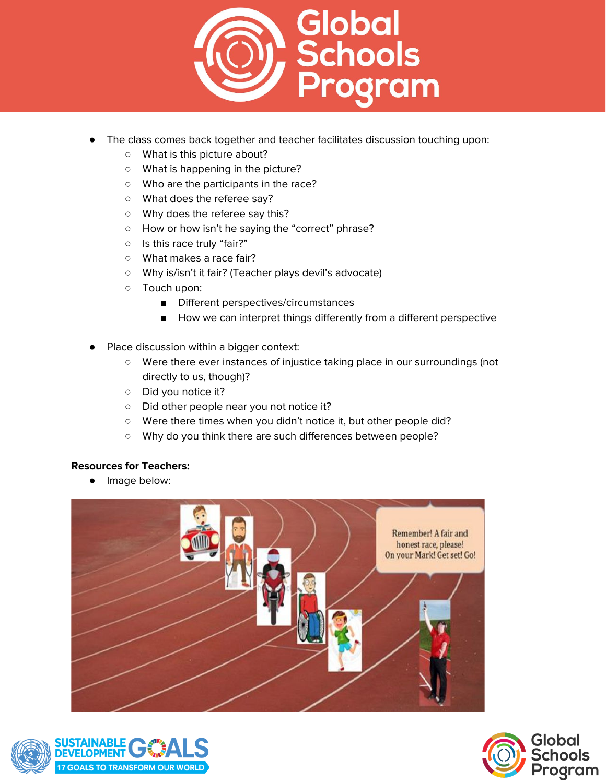

- The class comes back together and teacher facilitates discussion touching upon:
	- What is this picture about?
	- What is happening in the picture?
	- Who are the participants in the race?
	- What does the referee say?
	- Why does the referee say this?
	- How or how isn't he saying the "correct" phrase?
	- Is this race truly "fair?"
	- What makes a race fair?
	- Why is/isn't it fair? (Teacher plays devil's advocate)
	- Touch upon:
		- Different perspectives/circumstances
		- How we can interpret things differently from a different perspective
- Place discussion within a bigger context:
	- Were there ever instances of injustice taking place in our surroundings (not directly to us, though)?
	- Did you notice it?
	- Did other people near you not notice it?
	- Were there times when you didn't notice it, but other people did?
	- Why do you think there are such differences between people?

# **Resources for Teachers:**

● Image below:





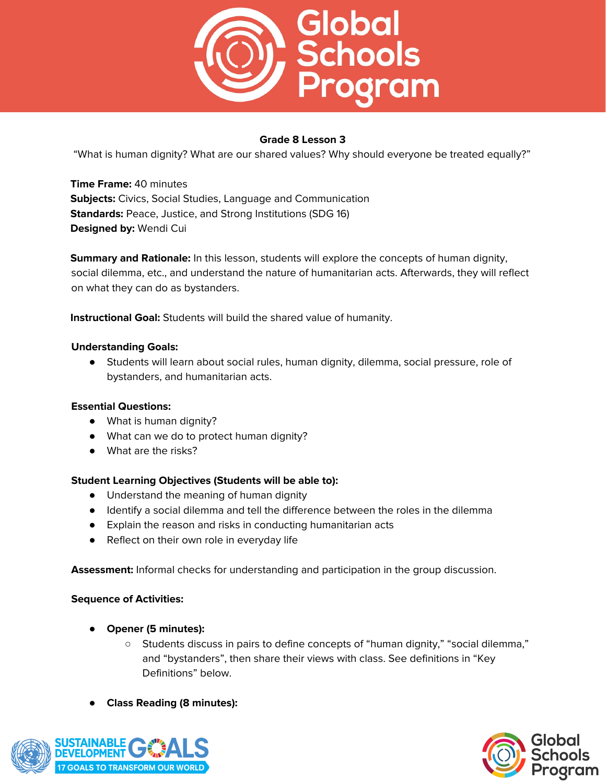

"What is human dignity? What are our shared values? Why should everyone be treated equally?"

**Time Frame:** 40 minutes **Subjects:** Civics, Social Studies, Language and Communication **Standards:** Peace, Justice, and Strong Institutions (SDG 16) **Designed by:** Wendi Cui

**Summary and Rationale:** In this lesson, students will explore the concepts of human dignity, social dilemma, etc., and understand the nature of humanitarian acts. Afterwards, they will reflect on what they can do as bystanders.

**Instructional Goal:** Students will build the shared value of humanity.

#### **Understanding Goals:**

● Students will learn about social rules, human dignity, dilemma, social pressure, role of bystanders, and humanitarian acts.

#### **Essential Questions:**

- What is human dignity?
- What can we do to protect human dignity?
- What are the risks?

#### **Student Learning Objectives (Students will be able to):**

- Understand the meaning of human dignity
- Identify a social dilemma and tell the difference between the roles in the dilemma
- Explain the reason and risks in conducting humanitarian acts
- Reflect on their own role in everyday life

**Assessment:** Informal checks for understanding and participation in the group discussion.

- **Opener (5 minutes):**
	- Students discuss in pairs to define concepts of "human dignity," "social dilemma," and "bystanders", then share their views with class. See definitions in "Key Definitions" below.
- **Class Reading (8 minutes):**



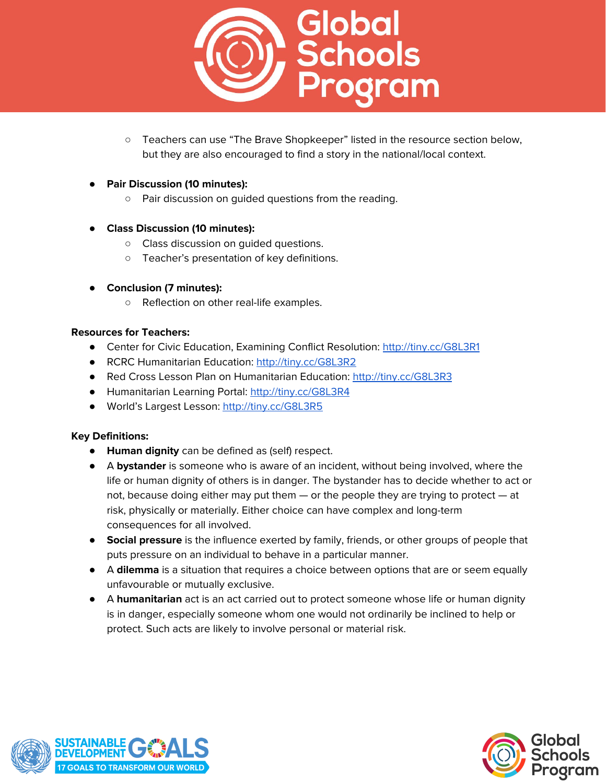

- Teachers can use "The Brave Shopkeeper" listed in the resource section below, but they are also encouraged to find a story in the national/local context.
- **Pair Discussion (10 minutes):**
	- Pair discussion on guided questions from the reading.
- **Class Discussion (10 minutes):**
	- Class discussion on guided questions.
	- Teacher's presentation of key definitions.
- **Conclusion (7 minutes):**
	- Reflection on other real-life examples.

#### **Resources for Teachers:**

- Center for Civic Education, Examining Conflict Resolution: <http://tiny.cc/G8L3R1>
- RCRC Humanitarian Education: <http://tiny.cc/G8L3R2>
- Red Cross Lesson Plan on Humanitarian Education: <http://tiny.cc/G8L3R3>
- Humanitarian Learning Portal: <http://tiny.cc/G8L3R4>
- World's Largest Lesson: <http://tiny.cc/G8L3R5>

#### **Key Definitions:**

- **Human dignity** can be defined as (self) respect.
- A **bystander** is someone who is aware of an incident, without being involved, where the life or human dignity of others is in danger. The bystander has to decide whether to act or not, because doing either may put them — or the people they are trying to protect — at risk, physically or materially. Either choice can have complex and long-term consequences for all involved.
- **Social pressure** is the influence exerted by family, friends, or other groups of people that puts pressure on an individual to behave in a particular manner.
- A **dilemma** is a situation that requires a choice between options that are or seem equally unfavourable or mutually exclusive.
- A **humanitarian** act is an act carried out to protect someone whose life or human dignity is in danger, especially someone whom one would not ordinarily be inclined to help or protect. Such acts are likely to involve personal or material risk.



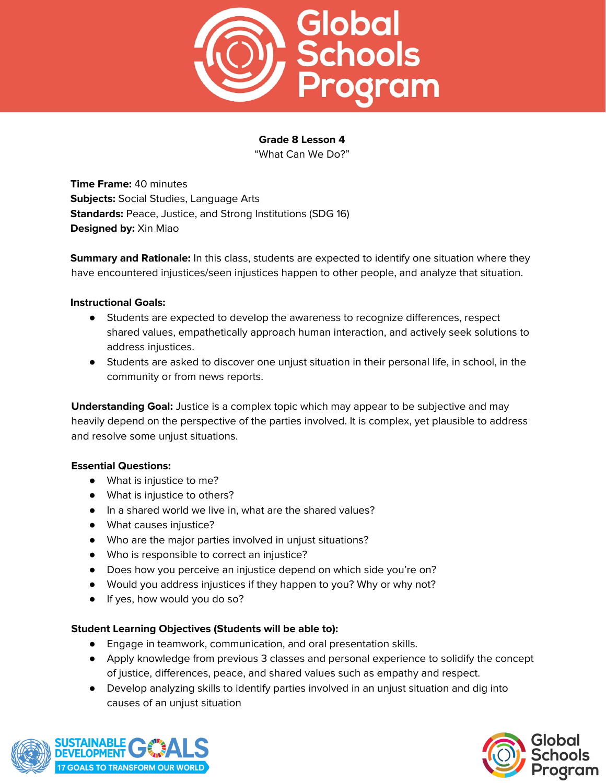

"What Can We Do?"

**Time Frame:** 40 minutes **Subjects:** Social Studies, Language Arts **Standards:** Peace, Justice, and Strong Institutions (SDG 16) **Designed by:** Xin Miao

**Summary and Rationale:** In this class, students are expected to identify one situation where they have encountered injustices/seen injustices happen to other people, and analyze that situation.

#### **Instructional Goals:**

- Students are expected to develop the awareness to recognize differences, respect shared values, empathetically approach human interaction, and actively seek solutions to address injustices.
- Students are asked to discover one unjust situation in their personal life, in school, in the community or from news reports.

**Understanding Goal:** Justice is a complex topic which may appear to be subjective and may heavily depend on the perspective of the parties involved. It is complex, yet plausible to address and resolve some unjust situations.

#### **Essential Questions:**

- What is injustice to me?
- What is injustice to others?
- In a shared world we live in, what are the shared values?
- What causes injustice?
- Who are the major parties involved in unjust situations?
- Who is responsible to correct an injustice?
- Does how you perceive an injustice depend on which side you're on?
- Would you address injustices if they happen to you? Why or why not?
- If yes, how would you do so?

#### **Student Learning Objectives (Students will be able to):**

- Engage in teamwork, communication, and oral presentation skills.
- Apply knowledge from previous 3 classes and personal experience to solidify the concept of justice, differences, peace, and shared values such as empathy and respect.
- Develop analyzing skills to identify parties involved in an unjust situation and dig into causes of an unjust situation



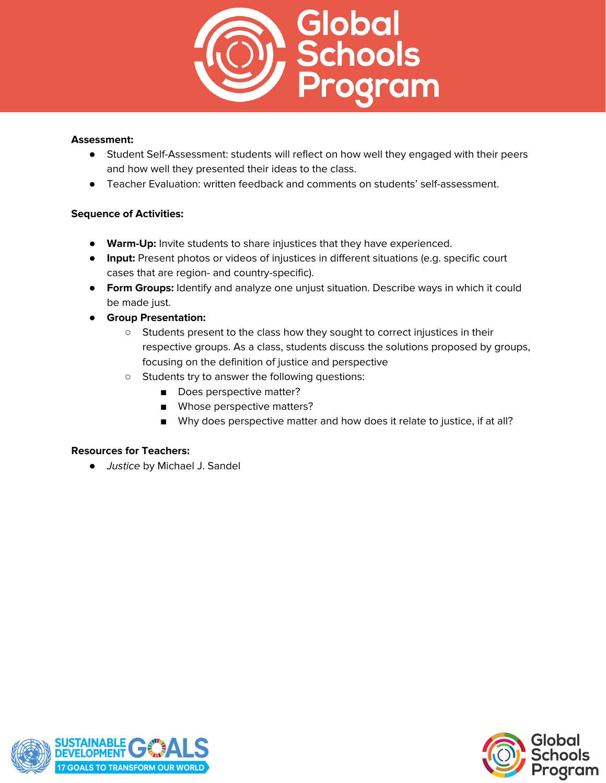

#### **Assessment:**

- Student Self-Assessment: students will reflect on how well they engaged with their peers and how well they presented their ideas to the class.
- Teacher Evaluation: written feedback and comments on students' self-assessment.

# **Sequence of Activities:**

- **Warm-Up:** Invite students to share injustices that they have experienced.
- **Input:** Present photos or videos of injustices in different situations (e.g. specific court cases that are region- and country-specific).
- **Form Groups:** Identify and analyze one unjust situation. Describe ways in which it could be made just.
- **Group Presentation:**
	- Students present to the class how they sought to correct injustices in their respective groups. As a class, students discuss the solutions proposed by groups, focusing on the definition of justice and perspective
	- Students try to answer the following questions:
		- Does perspective matter?
		- Whose perspective matters?
		- Why does perspective matter and how does it relate to justice, if at all?

# **Resources for Teachers:**

● Justice by Michael J. Sandel



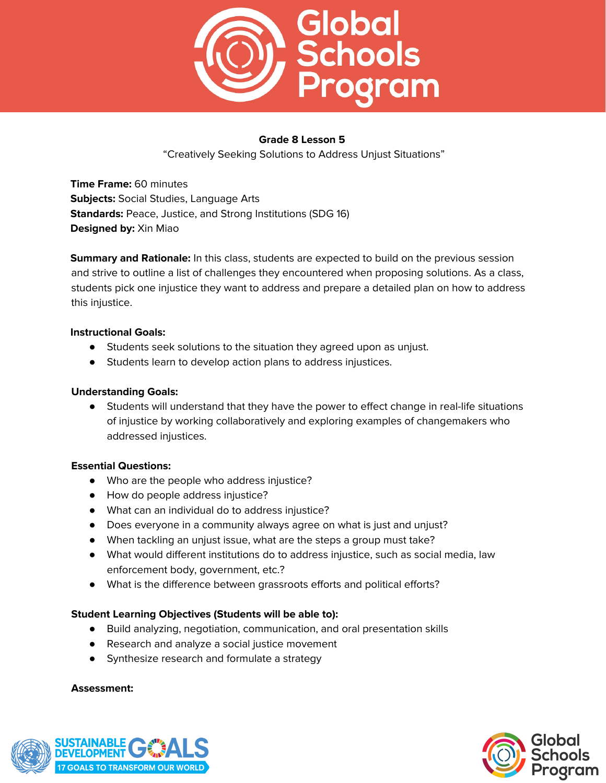

"Creatively Seeking Solutions to Address Unjust Situations"

**Time Frame:** 60 minutes **Subjects:** Social Studies, Language Arts **Standards:** Peace, Justice, and Strong Institutions (SDG 16) **Designed by:** Xin Miao

**Summary and Rationale:** In this class, students are expected to build on the previous session and strive to outline a list of challenges they encountered when proposing solutions. As a class, students pick one injustice they want to address and prepare a detailed plan on how to address this injustice.

#### **Instructional Goals:**

- Students seek solutions to the situation they agreed upon as unjust.
- Students learn to develop action plans to address injustices.

#### **Understanding Goals:**

● Students will understand that they have the power to effect change in real-life situations of injustice by working collaboratively and exploring examples of changemakers who addressed injustices.

#### **Essential Questions:**

- Who are the people who address injustice?
- How do people address injustice?
- What can an individual do to address injustice?
- Does everyone in a community always agree on what is just and unjust?
- When tackling an unjust issue, what are the steps a group must take?
- What would different institutions do to address injustice, such as social media, law enforcement body, government, etc.?
- What is the difference between grassroots efforts and political efforts?

#### **Student Learning Objectives (Students will be able to):**

- Build analyzing, negotiation, communication, and oral presentation skills
- Research and analyze a social justice movement
- Synthesize research and formulate a strategy

#### **Assessment:**